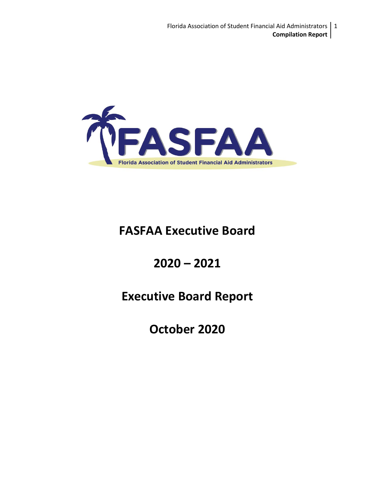

# **FASFAA Executive Board**

# **2020 – 2021**

# **Executive Board Report**

**October 2020**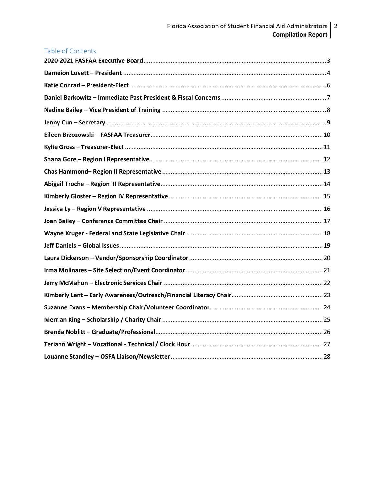| <b>Table of Contents</b> |  |
|--------------------------|--|
|                          |  |
|                          |  |
|                          |  |
|                          |  |
|                          |  |
|                          |  |
|                          |  |
|                          |  |
|                          |  |
|                          |  |
|                          |  |
|                          |  |
|                          |  |
|                          |  |
|                          |  |
|                          |  |
|                          |  |
|                          |  |
|                          |  |
|                          |  |
|                          |  |
|                          |  |
|                          |  |
|                          |  |
|                          |  |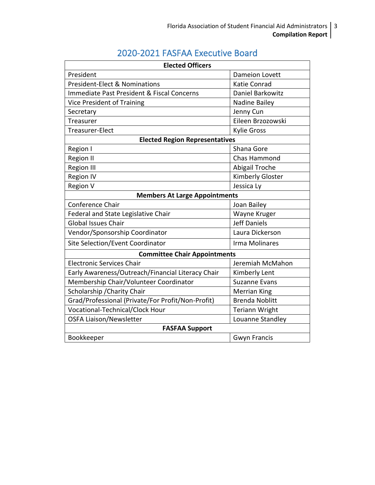# 2020-2021 FASFAA Executive Board

<span id="page-2-0"></span>

| <b>Elected Officers</b>                           |                       |  |
|---------------------------------------------------|-----------------------|--|
| President                                         | <b>Dameion Lovett</b> |  |
| <b>President-Elect &amp; Nominations</b>          | <b>Katie Conrad</b>   |  |
| Immediate Past President & Fiscal Concerns        | Daniel Barkowitz      |  |
| Vice President of Training                        | Nadine Bailey         |  |
| Secretary                                         | Jenny Cun             |  |
| Treasurer                                         | Eileen Brzozowski     |  |
| Treasurer-Elect                                   | <b>Kylie Gross</b>    |  |
| <b>Elected Region Representatives</b>             |                       |  |
| Region I                                          | Shana Gore            |  |
| <b>Region II</b>                                  | <b>Chas Hammond</b>   |  |
| <b>Region III</b>                                 | Abigail Troche        |  |
| <b>Region IV</b>                                  | Kimberly Gloster      |  |
| Region V                                          | Jessica Ly            |  |
| <b>Members At Large Appointments</b>              |                       |  |
| Conference Chair                                  | Joan Bailey           |  |
| Federal and State Legislative Chair               | Wayne Kruger          |  |
| <b>Global Issues Chair</b>                        | <b>Jeff Daniels</b>   |  |
| Vendor/Sponsorship Coordinator                    | Laura Dickerson       |  |
| Site Selection/Event Coordinator                  | Irma Molinares        |  |
| <b>Committee Chair Appointments</b>               |                       |  |
| <b>Electronic Services Chair</b>                  | Jeremiah McMahon      |  |
| Early Awareness/Outreach/Financial Literacy Chair | Kimberly Lent         |  |
| Membership Chair/Volunteer Coordinator            | <b>Suzanne Evans</b>  |  |
| Scholarship / Charity Chair                       | <b>Merrian King</b>   |  |
| Grad/Professional (Private/For Profit/Non-Profit) | <b>Brenda Noblitt</b> |  |
| Vocational-Technical/Clock Hour                   | <b>Teriann Wright</b> |  |
| <b>OSFA Liaison/Newsletter</b>                    | Louanne Standley      |  |
| <b>FASFAA Support</b>                             |                       |  |
| Bookkeeper                                        | <b>Gwyn Francis</b>   |  |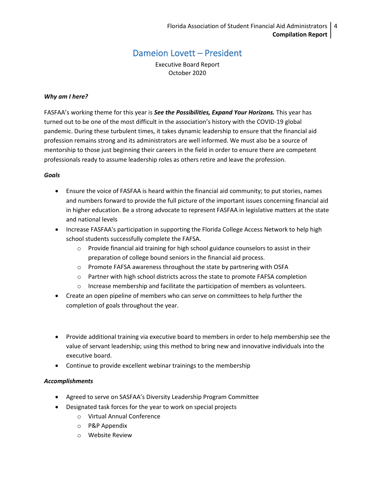# Dameion Lovett – President

Executive Board Report October 2020

### <span id="page-3-0"></span>*Why am I here?*

FASFAA's working theme for this year is *See the Possibilities, Expand Your Horizons.* This year has turned out to be one of the most difficult in the association's history with the COVID-19 global pandemic. During these turbulent times, it takes dynamic leadership to ensure that the financial aid profession remains strong and its administrators are well informed. We must also be a source of mentorship to those just beginning their careers in the field in order to ensure there are competent professionals ready to assume leadership roles as others retire and leave the profession.

#### *Goals*

- Ensure the voice of FASFAA is heard within the financial aid community; to put stories, names and numbers forward to provide the full picture of the important issues concerning financial aid in higher education. Be a strong advocate to represent FASFAA in legislative matters at the state and national levels
- Increase FASFAA's participation in supporting the Florida College Access Network to help high school students successfully complete the FAFSA.
	- $\circ$  Provide financial aid training for high school guidance counselors to assist in their preparation of college bound seniors in the financial aid process.
	- o Promote FAFSA awareness throughout the state by partnering with OSFA
	- o Partner with high school districts across the state to promote FAFSA completion
	- o Increase membership and facilitate the participation of members as volunteers.
- Create an open pipeline of members who can serve on committees to help further the completion of goals throughout the year.
- Provide additional training via executive board to members in order to help membership see the value of servant leadership; using this method to bring new and innovative individuals into the executive board.
- Continue to provide excellent webinar trainings to the membership

# *Accomplishments*

- Agreed to serve on SASFAA's Diversity Leadership Program Committee
- Designated task forces for the year to work on special projects
	- o Virtual Annual Conference
	- o P&P Appendix
	- o Website Review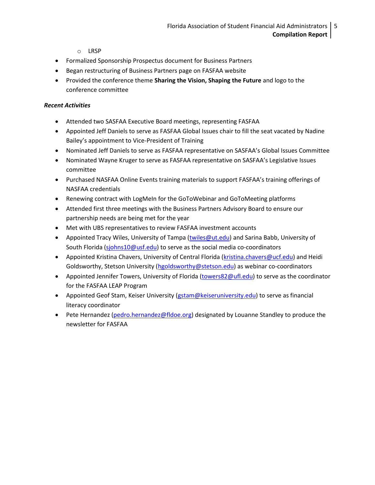- o LRSP
- Formalized Sponsorship Prospectus document for Business Partners
- Began restructuring of Business Partners page on FASFAA website
- Provided the conference theme **Sharing the Vision, Shaping the Future** and logo to the conference committee

- Attended two SASFAA Executive Board meetings, representing FASFAA
- Appointed Jeff Daniels to serve as FASFAA Global Issues chair to fill the seat vacated by Nadine Bailey's appointment to Vice-President of Training
- Nominated Jeff Daniels to serve as FASFAA representative on SASFAA's Global Issues Committee
- Nominated Wayne Kruger to serve as FASFAA representative on SASFAA's Legislative Issues committee
- Purchased NASFAA Online Events training materials to support FASFAA's training offerings of NASFAA credentials
- Renewing contract with LogMeIn for the GoToWebinar and GoToMeeting platforms
- Attended first three meetings with the Business Partners Advisory Board to ensure our partnership needs are being met for the year
- Met with UBS representatives to review FASFAA investment accounts
- Appointed Tracy Wiles, University of Tampa [\(twiles@ut.edu\)](mailto:twiles@ut.edu) and Sarina Babb, University of South Florida [\(sjohns10@usf.edu\)](mailto:sjohns10@usf.edu) to serve as the social media co-coordinators
- Appointed Kristina Chavers, University of Central Florida [\(kristina.chavers@ucf.edu\)](mailto:kristina.chavers@ucf.edu) and Heidi Goldsworthy, Stetson University [\(hgoldsworthy@stetson.edu\)](mailto:hgoldsworthy@stetson.edu) as webinar co-coordinators
- Appointed Jennifer Towers, University of Florida [\(towers82@ufl.edu\)](mailto:towers82@ufl.edu) to serve as the coordinator for the FASFAA LEAP Program
- Appointed Geof Stam, Keiser University [\(gstam@keiseruniversity.edu\)](mailto:gstam@kesieruniversity.edu) to serve as financial literacy coordinator
- Pete Hernandez [\(pedro.hernandez@fldoe.org\)](mailto:pedro.hernandez@fldoe.org) designated by Louanne Standley to produce the newsletter for FASFAA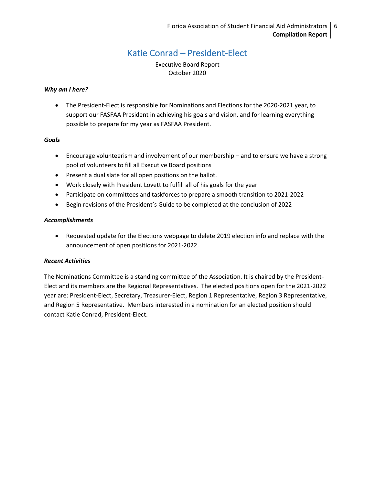# Katie Conrad – President-Elect

Executive Board Report October 2020

#### <span id="page-5-0"></span>*Why am I here?*

• The President-Elect is responsible for Nominations and Elections for the 2020-2021 year, to support our FASFAA President in achieving his goals and vision, and for learning everything possible to prepare for my year as FASFAA President.

#### *Goals*

- Encourage volunteerism and involvement of our membership and to ensure we have a strong pool of volunteers to fill all Executive Board positions
- Present a dual slate for all open positions on the ballot.
- Work closely with President Lovett to fulfill all of his goals for the year
- Participate on committees and taskforces to prepare a smooth transition to 2021-2022
- Begin revisions of the President's Guide to be completed at the conclusion of 2022

#### *Accomplishments*

• Requested update for the Elections webpage to delete 2019 election info and replace with the announcement of open positions for 2021-2022.

# *Recent Activities*

The Nominations Committee is a standing committee of the Association. It is chaired by the President-Elect and its members are the Regional Representatives. The elected positions open for the 2021-2022 year are: President-Elect, Secretary, Treasurer-Elect, Region 1 Representative, Region 3 Representative, and Region 5 Representative. Members interested in a nomination for an elected position should contact Katie Conrad, President-Elect.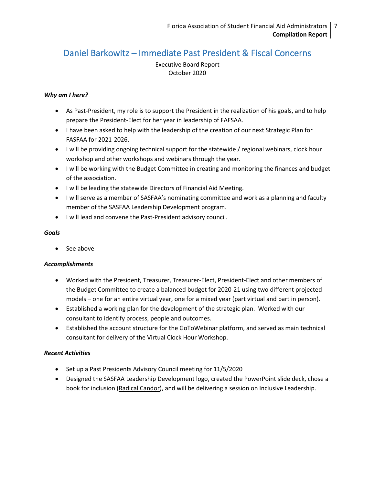# <span id="page-6-0"></span>Daniel Barkowitz – Immediate Past President & Fiscal Concerns

Executive Board Report October 2020

# *Why am I here?*

- As Past-President, my role is to support the President in the realization of his goals, and to help prepare the President-Elect for her year in leadership of FAFSAA.
- I have been asked to help with the leadership of the creation of our next Strategic Plan for FASFAA for 2021-2026.
- I will be providing ongoing technical support for the statewide / regional webinars, clock hour workshop and other workshops and webinars through the year.
- I will be working with the Budget Committee in creating and monitoring the finances and budget of the association.
- I will be leading the statewide Directors of Financial Aid Meeting.
- I will serve as a member of SASFAA's nominating committee and work as a planning and faculty member of the SASFAA Leadership Development program.
- I will lead and convene the Past-President advisory council.

# *Goals*

See above

# *Accomplishments*

- Worked with the President, Treasurer, Treasurer-Elect, President-Elect and other members of the Budget Committee to create a balanced budget for 2020-21 using two different projected models – one for an entire virtual year, one for a mixed year (part virtual and part in person).
- Established a working plan for the development of the strategic plan. Worked with our consultant to identify process, people and outcomes.
- Established the account structure for the GoToWebinar platform, and served as main technical consultant for delivery of the Virtual Clock Hour Workshop.

- Set up a Past Presidents Advisory Council meeting for 11/5/2020
- Designed the SASFAA Leadership Development logo, created the PowerPoint slide deck, chose a book for inclusion (Radical Candor), and will be delivering a session on Inclusive Leadership.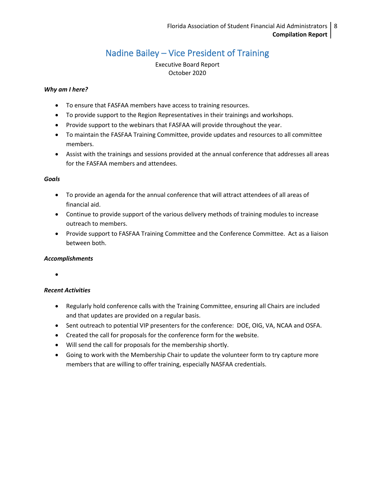# Nadine Bailey – Vice President of Training

Executive Board Report October 2020

# <span id="page-7-0"></span>*Why am I here?*

- To ensure that FASFAA members have access to training resources.
- To provide support to the Region Representatives in their trainings and workshops.
- Provide support to the webinars that FASFAA will provide throughout the year.
- To maintain the FASFAA Training Committee, provide updates and resources to all committee members.
- Assist with the trainings and sessions provided at the annual conference that addresses all areas for the FASFAA members and attendees.

#### *Goals*

- To provide an agenda for the annual conference that will attract attendees of all areas of financial aid.
- Continue to provide support of the various delivery methods of training modules to increase outreach to members.
- Provide support to FASFAA Training Committee and the Conference Committee. Act as a liaison between both.

# *Accomplishments*

•

- Regularly hold conference calls with the Training Committee, ensuring all Chairs are included and that updates are provided on a regular basis.
- Sent outreach to potential VIP presenters for the conference: DOE, OIG, VA, NCAA and OSFA.
- Created the call for proposals for the conference form for the website.
- Will send the call for proposals for the membership shortly.
- Going to work with the Membership Chair to update the volunteer form to try capture more members that are willing to offer training, especially NASFAA credentials.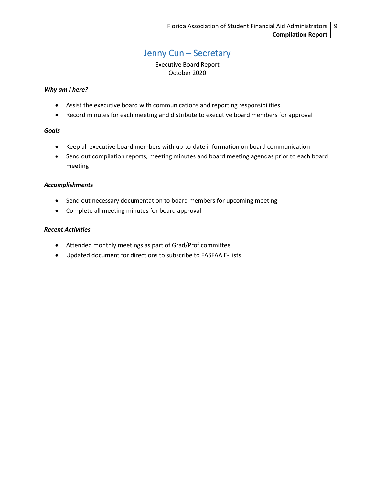# Jenny Cun – Secretary

Executive Board Report October 2020

#### <span id="page-8-0"></span>*Why am I here?*

- Assist the executive board with communications and reporting responsibilities
- Record minutes for each meeting and distribute to executive board members for approval

#### *Goals*

- Keep all executive board members with up-to-date information on board communication
- Send out compilation reports, meeting minutes and board meeting agendas prior to each board meeting

#### *Accomplishments*

- Send out necessary documentation to board members for upcoming meeting
- Complete all meeting minutes for board approval

- Attended monthly meetings as part of Grad/Prof committee
- Updated document for directions to subscribe to FASFAA E-Lists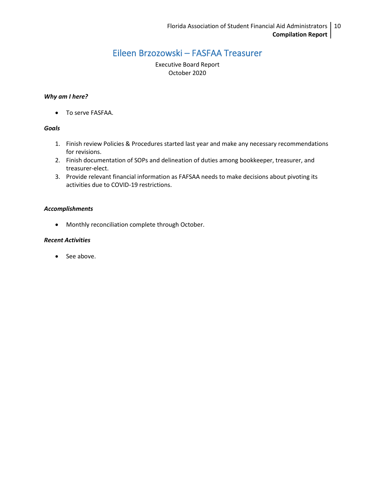# Eileen Brzozowski – FASFAA Treasurer

Executive Board Report October 2020

### <span id="page-9-0"></span>*Why am I here?*

• To serve FASFAA.

#### *Goals*

- 1. Finish review Policies & Procedures started last year and make any necessary recommendations for revisions.
- 2. Finish documentation of SOPs and delineation of duties among bookkeeper, treasurer, and treasurer-elect.
- 3. Provide relevant financial information as FAFSAA needs to make decisions about pivoting its activities due to COVID-19 restrictions.

#### *Accomplishments*

• Monthly reconciliation complete through October.

### *Recent Activities*

• See above.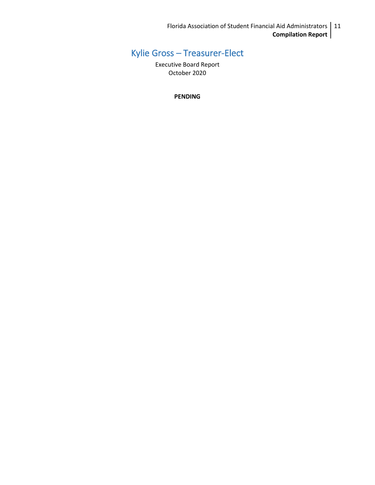Florida Association of Student Financial Aid Administrators | 11 **Compilation Report**

# <span id="page-10-0"></span>Kylie Gross – Treasurer-Elect

Executive Board Report October 2020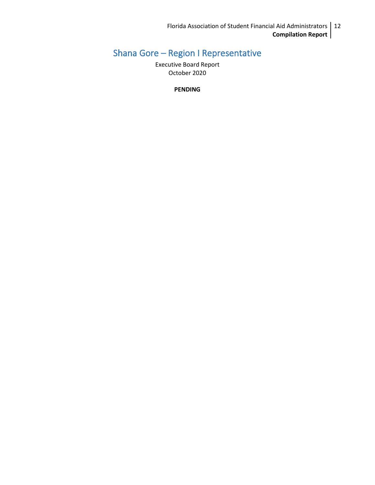# <span id="page-11-0"></span>Shana Gore – Region I Representative

Executive Board Report October 2020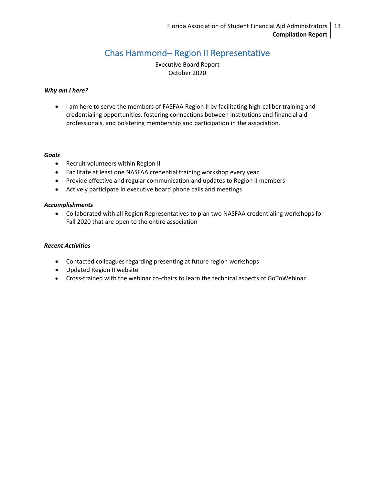# Chas Hammond– Region II Representative

Executive Board Report October 2020

#### <span id="page-12-0"></span>*Why am I here?*

• I am here to serve the members of FASFAA Region II by facilitating high-caliber training and credentialing opportunities, fostering connections between institutions and financial aid professionals, and bolstering membership and participation in the association.

#### *Goals*

- Recruit volunteers within Region II
- Facilitate at least one NASFAA credential training workshop every year
- Provide effective and regular communication and updates to Region II members
- Actively participate in executive board phone calls and meetings

#### *Accomplishments*

• Collaborated with all Region Representatives to plan two NASFAA credentialing workshops for Fall 2020 that are open to the entire association

- Contacted colleagues regarding presenting at future region workshops
- Updated Region II website
- Cross-trained with the webinar co-chairs to learn the technical aspects of GoToWebinar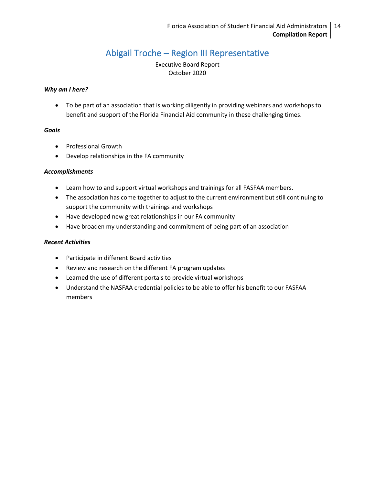# Abigail Troche – Region III Representative

Executive Board Report October 2020

### <span id="page-13-0"></span>*Why am I here?*

• To be part of an association that is working diligently in providing webinars and workshops to benefit and support of the Florida Financial Aid community in these challenging times.

#### *Goals*

- Professional Growth
- Develop relationships in the FA community

# *Accomplishments*

- Learn how to and support virtual workshops and trainings for all FASFAA members.
- The association has come together to adjust to the current environment but still continuing to support the community with trainings and workshops
- Have developed new great relationships in our FA community
- Have broaden my understanding and commitment of being part of an association

- Participate in different Board activities
- Review and research on the different FA program updates
- Learned the use of different portals to provide virtual workshops
- Understand the NASFAA credential policies to be able to offer his benefit to our FASFAA members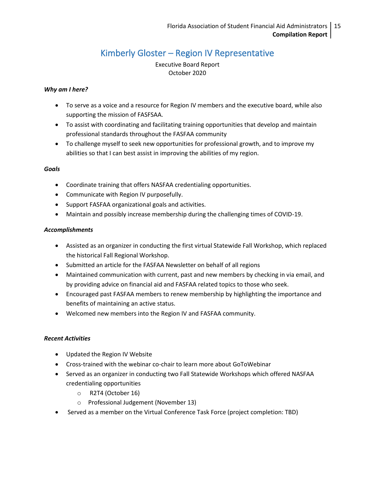# Kimberly Gloster – Region IV Representative

Executive Board Report October 2020

# <span id="page-14-0"></span>*Why am I here?*

- To serve as a voice and a resource for Region IV members and the executive board, while also supporting the mission of FASFSAA.
- To assist with coordinating and facilitating training opportunities that develop and maintain professional standards throughout the FASFAA community
- To challenge myself to seek new opportunities for professional growth, and to improve my abilities so that I can best assist in improving the abilities of my region.

# *Goals*

- Coordinate training that offers NASFAA credentialing opportunities.
- Communicate with Region IV purposefully.
- Support FASFAA organizational goals and activities.
- Maintain and possibly increase membership during the challenging times of COVID-19.

#### *Accomplishments*

- Assisted as an organizer in conducting the first virtual Statewide Fall Workshop, which replaced the historical Fall Regional Workshop.
- Submitted an article for the FASFAA Newsletter on behalf of all regions
- Maintained communication with current, past and new members by checking in via email, and by providing advice on financial aid and FASFAA related topics to those who seek.
- Encouraged past FASFAA members to renew membership by highlighting the importance and benefits of maintaining an active status.
- Welcomed new members into the Region IV and FASFAA community.

- Updated the Region IV Website
- Cross-trained with the webinar co-chair to learn more about GoToWebinar
- Served as an organizer in conducting two Fall Statewide Workshops which offered NASFAA credentialing opportunities
	- o R2T4 (October 16)
	- o Professional Judgement (November 13)
- Served as a member on the Virtual Conference Task Force (project completion: TBD)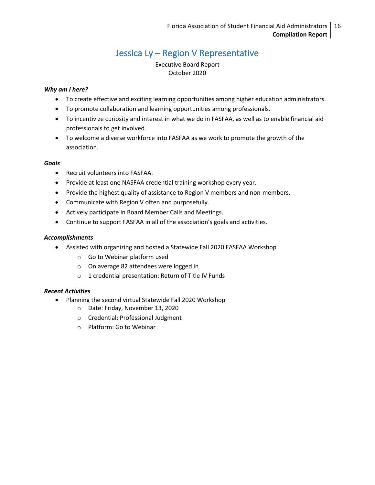# Jessica Ly – Region V Representative

Executive Board Report October 2020

# <span id="page-15-0"></span>*Why am I here?*

- To create effective and exciting learning opportunities among higher education administrators.
- To promote collaboration and learning opportunities among professionals.
- To incentivize curiosity and interest in what we do in FASFAA, as well as to enable financial aid professionals to get involved.
- To welcome a diverse workforce into FASFAA as we work to promote the growth of the association.

# *Goals*

- Recruit volunteers into FASFAA.
- Provide at least one NASFAA credential training workshop every year.
- Provide the highest quality of assistance to Region V members and non-members.
- Communicate with Region V often and purposefully.
- Actively participate in Board Member Calls and Meetings.
- Continue to support FASFAA in all of the association's goals and activities.

# *Accomplishments*

- Assisted with organizing and hosted a Statewide Fall 2020 FASFAA Workshop
	- o Go to Webinar platform used
	- o On average 82 attendees were logged in
	- o 1 credential presentation: Return of Title IV Funds

- Planning the second virtual Statewide Fall 2020 Workshop
	- o Date: Friday, November 13, 2020
	- o Credential: Professional Judgment
	- o Platform: Go to Webinar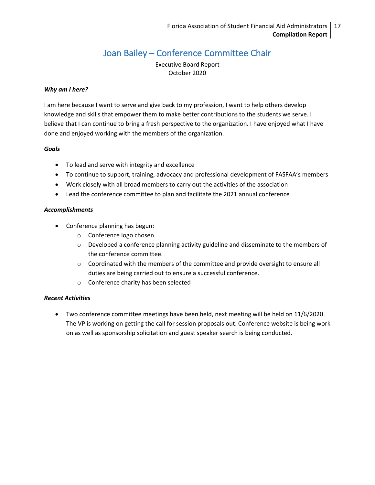# Joan Bailey – Conference Committee Chair

Executive Board Report October 2020

# <span id="page-16-0"></span>*Why am I here?*

I am here because I want to serve and give back to my profession, I want to help others develop knowledge and skills that empower them to make better contributions to the students we serve. I believe that I can continue to bring a fresh perspective to the organization. I have enjoyed what I have done and enjoyed working with the members of the organization.

#### *Goals*

- To lead and serve with integrity and excellence
- To continue to support, training, advocacy and professional development of FASFAA's members
- Work closely with all broad members to carry out the activities of the association
- Lead the conference committee to plan and facilitate the 2021 annual conference

# *Accomplishments*

- Conference planning has begun:
	- o Conference logo chosen
	- o Developed a conference planning activity guideline and disseminate to the members of the conference committee.
	- $\circ$  Coordinated with the members of the committee and provide oversight to ensure all duties are being carried out to ensure a successful conference.
	- o Conference charity has been selected

# *Recent Activities*

• Two conference committee meetings have been held, next meeting will be held on 11/6/2020. The VP is working on getting the call for session proposals out. Conference website is being work on as well as sponsorship solicitation and guest speaker search is being conducted.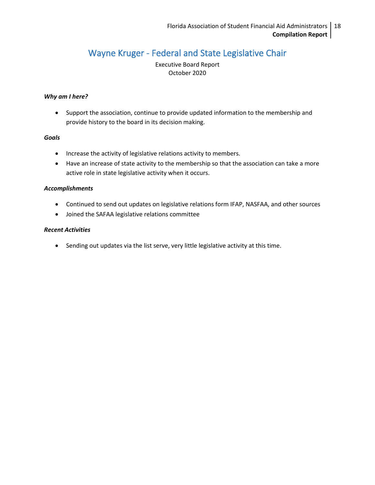# <span id="page-17-0"></span>Wayne Kruger - Federal and State Legislative Chair

Executive Board Report October 2020

### *Why am I here?*

• Support the association, continue to provide updated information to the membership and provide history to the board in its decision making.

#### *Goals*

- Increase the activity of legislative relations activity to members.
- Have an increase of state activity to the membership so that the association can take a more active role in state legislative activity when it occurs.

#### *Accomplishments*

- Continued to send out updates on legislative relations form IFAP, NASFAA, and other sources
- Joined the SAFAA legislative relations committee

#### *Recent Activities*

• Sending out updates via the list serve, very little legislative activity at this time.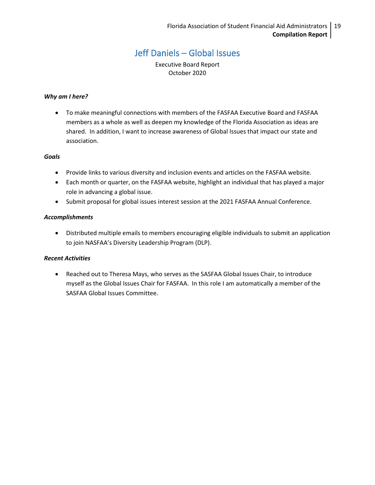# Jeff Daniels – Global Issues

Executive Board Report October 2020

#### <span id="page-18-0"></span>*Why am I here?*

• To make meaningful connections with members of the FASFAA Executive Board and FASFAA members as a whole as well as deepen my knowledge of the Florida Association as ideas are shared. In addition, I want to increase awareness of Global Issues that impact our state and association.

#### *Goals*

- Provide links to various diversity and inclusion events and articles on the FASFAA website.
- Each month or quarter, on the FASFAA website, highlight an individual that has played a major role in advancing a global issue.
- Submit proposal for global issues interest session at the 2021 FASFAA Annual Conference.

#### *Accomplishments*

• Distributed multiple emails to members encouraging eligible individuals to submit an application to join NASFAA's Diversity Leadership Program (DLP).

#### *Recent Activities*

• Reached out to Theresa Mays, who serves as the SASFAA Global Issues Chair, to introduce myself as the Global Issues Chair for FASFAA. In this role I am automatically a member of the SASFAA Global Issues Committee.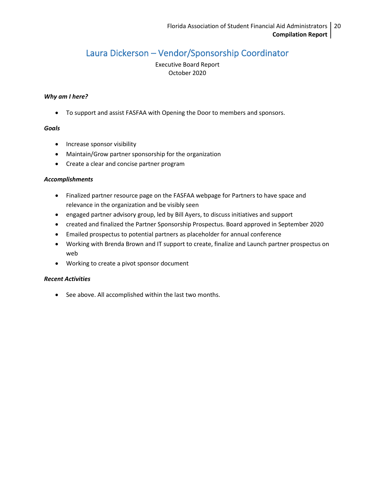# <span id="page-19-0"></span>Laura Dickerson – Vendor/Sponsorship Coordinator

Executive Board Report October 2020

#### *Why am I here?*

• To support and assist FASFAA with Opening the Door to members and sponsors.

### *Goals*

- Increase sponsor visibility
- Maintain/Grow partner sponsorship for the organization
- Create a clear and concise partner program

#### *Accomplishments*

- Finalized partner resource page on the FASFAA webpage for Partners to have space and relevance in the organization and be visibly seen
- engaged partner advisory group, led by Bill Ayers, to discuss initiatives and support
- created and finalized the Partner Sponsorship Prospectus. Board approved in September 2020
- Emailed prospectus to potential partners as placeholder for annual conference
- Working with Brenda Brown and IT support to create, finalize and Launch partner prospectus on web
- Working to create a pivot sponsor document

# *Recent Activities*

• See above. All accomplished within the last two months.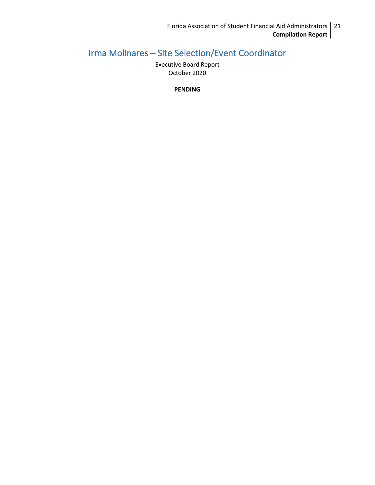# <span id="page-20-0"></span>Irma Molinares – Site Selection/Event Coordinator

Executive Board Report October 2020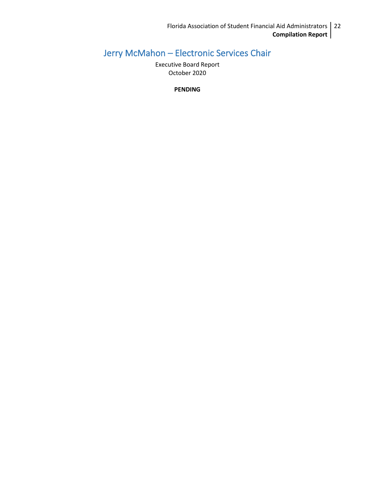# <span id="page-21-0"></span>Jerry McMahon – Electronic Services Chair

Executive Board Report October 2020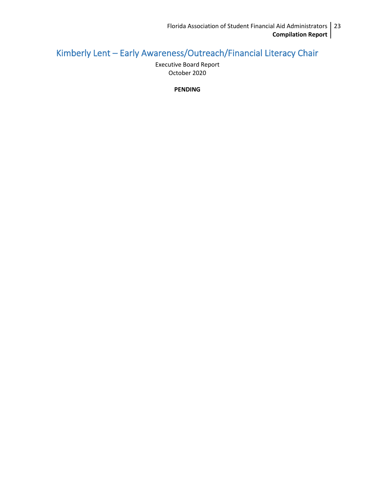# <span id="page-22-0"></span>Kimberly Lent – Early Awareness/Outreach/Financial Literacy Chair

Executive Board Report October 2020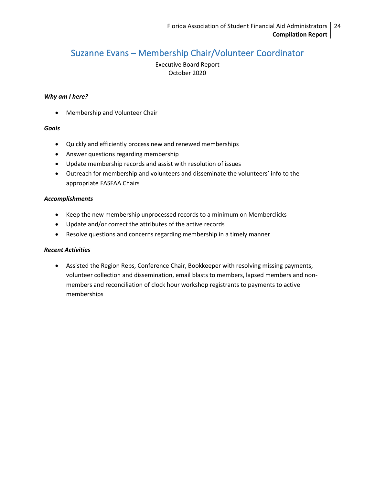# <span id="page-23-0"></span>Suzanne Evans – Membership Chair/Volunteer Coordinator

Executive Board Report October 2020

#### *Why am I here?*

• Membership and Volunteer Chair

# *Goals*

- Quickly and efficiently process new and renewed memberships
- Answer questions regarding membership
- Update membership records and assist with resolution of issues
- Outreach for membership and volunteers and disseminate the volunteers' info to the appropriate FASFAA Chairs

#### *Accomplishments*

- Keep the new membership unprocessed records to a minimum on Memberclicks
- Update and/or correct the attributes of the active records
- Resolve questions and concerns regarding membership in a timely manner

# *Recent Activities*

• Assisted the Region Reps, Conference Chair, Bookkeeper with resolving missing payments, volunteer collection and dissemination, email blasts to members, lapsed members and nonmembers and reconciliation of clock hour workshop registrants to payments to active memberships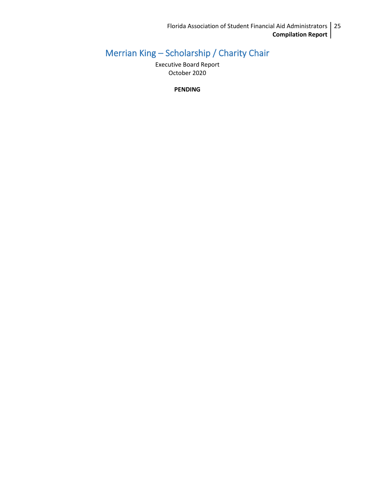# <span id="page-24-0"></span>Merrian King – Scholarship / Charity Chair

Executive Board Report October 2020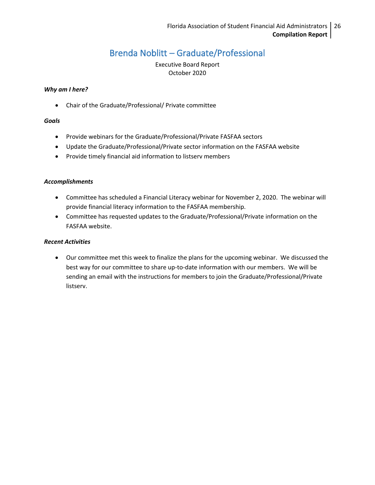# Brenda Noblitt – Graduate/Professional

Executive Board Report October 2020

#### <span id="page-25-0"></span>*Why am I here?*

• Chair of the Graduate/Professional/ Private committee

# *Goals*

- Provide webinars for the Graduate/Professional/Private FASFAA sectors
- Update the Graduate/Professional/Private sector information on the FASFAA website
- Provide timely financial aid information to listserv members

# *Accomplishments*

- Committee has scheduled a Financial Literacy webinar for November 2, 2020. The webinar will provide financial literacy information to the FASFAA membership.
- Committee has requested updates to the Graduate/Professional/Private information on the FASFAA website.

### *Recent Activities*

• Our committee met this week to finalize the plans for the upcoming webinar. We discussed the best way for our committee to share up-to-date information with our members. We will be sending an email with the instructions for members to join the Graduate/Professional/Private listserv.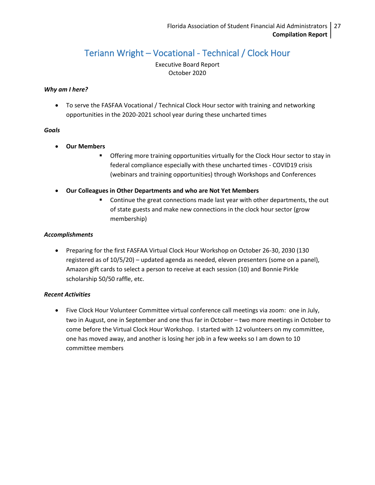# Teriann Wright – Vocational - Technical / Clock Hour

Executive Board Report October 2020

# <span id="page-26-0"></span>*Why am I here?*

• To serve the FASFAA Vocational / Technical Clock Hour sector with training and networking opportunities in the 2020-2021 school year during these uncharted times

#### *Goals*

- **Our Members**
	- **•** Offering more training opportunities virtually for the Clock Hour sector to stay in federal compliance especially with these uncharted times - COVID19 crisis (webinars and training opportunities) through Workshops and Conferences
- **Our Colleagues in Other Departments and who are Not Yet Members**
	- Continue the great connections made last year with other departments, the out of state guests and make new connections in the clock hour sector (grow membership)

# *Accomplishments*

• Preparing for the first FASFAA Virtual Clock Hour Workshop on October 26-30, 2030 (130 registered as of 10/5/20) – updated agenda as needed, eleven presenters (some on a panel), Amazon gift cards to select a person to receive at each session (10) and Bonnie Pirkle scholarship 50/50 raffle, etc.

# *Recent Activities*

• Five Clock Hour Volunteer Committee virtual conference call meetings via zoom: one in July, two in August, one in September and one thus far in October – two more meetings in October to come before the Virtual Clock Hour Workshop. I started with 12 volunteers on my committee, one has moved away, and another is losing her job in a few weeks so I am down to 10 committee members